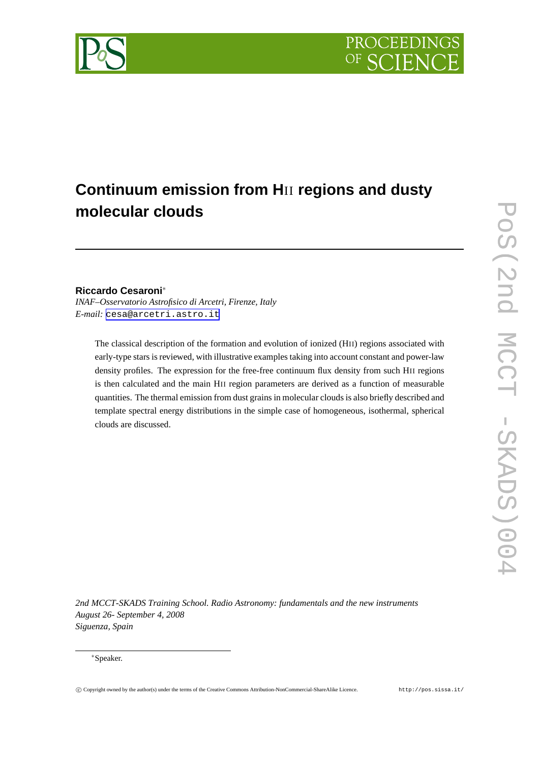

# **Continuum emission from H**II **regions and dusty molecular clouds**

## **Riccardo Cesaroni**<sup>∗</sup>

*INAF–Osservatorio Astrofisico di Arcetri, Firenze, Italy E-mail:* [cesa@arcetri.astro.it](mailto:cesa@arcetri.astro.it)

The classical description of the formation and evolution of ionized (HII) regions associated with early-type stars is reviewed, with illustrative examples taking into account constant and power-law density profiles. The expression for the free-free continuum flux density from such HII regions is then calculated and the main HII region parameters are derived as a function of measurable quantities. The thermal emission from dust grains in molecular clouds is also briefly described and template spectral energy distributions in the simple case of homogeneous, isothermal, spherical clouds are discussed.

*2nd MCCT-SKADS Training School. Radio Astronomy: fundamentals and the new instruments August 26- September 4, 2008 Siguenza, Spain*

#### <sup>∗</sup>Speaker.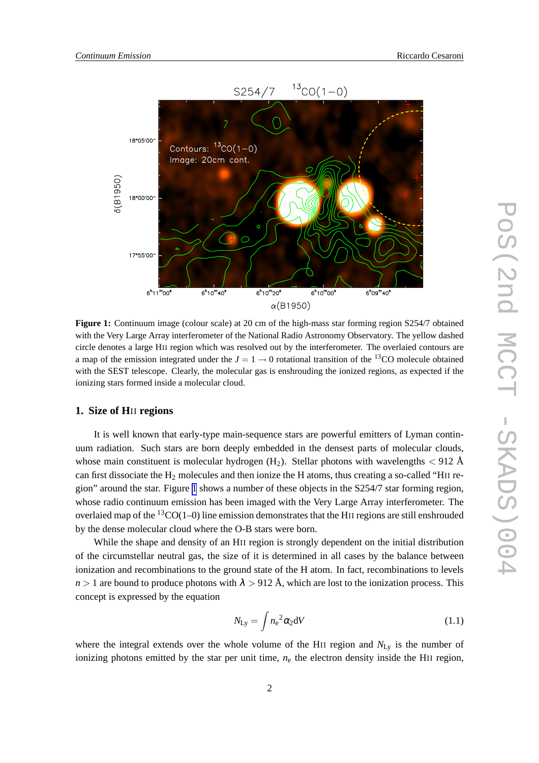<span id="page-1-0"></span>

**Figure 1:** Continuum image (colour scale) at 20 cm of the high-mass star forming region S254/7 obtained with the Very Large Array interferometer of the National Radio Astronomy Observatory. The yellow dashed circle denotes a large HII region which was resolved out by the interferometer. The overlaied contours are a map of the emission integrated under the  $J = 1 \rightarrow 0$  rotational transition of the <sup>13</sup>CO molecule obtained with the SEST telescope. Clearly, the molecular gas is enshrouding the ionized regions, as expected if the ionizing stars formed inside a molecular cloud.

#### **1. Size of H**II **regions**

It is well known that early-type main-sequence stars are powerful emitters of Lyman continuum radiation. Such stars are born deeply embedded in the densest parts of molecular clouds, whose main constituent is molecular hydrogen  $(H_2)$ . Stellar photons with wavelengths  $< 912$  Å can first dissociate the  $H_2$  molecules and then ionize the H atoms, thus creating a so-called "HII region" around the star. Figure 1 shows a number of these objects in the S254/7 star forming region, whose radio continuum emission has been imaged with the Very Large Array interferometer. The overlaied map of the  ${}^{13}CO(1-0)$  line emission demonstrates that the HII regions are still enshrouded by the dense molecular cloud where the O-B stars were born.

While the shape and density of an HII region is strongly dependent on the initial distribution of the circumstellar neutral gas, the size of it is determined in all cases by the balance between ionization and recombinations to the ground state of the H atom. In fact, recombinations to levels  $n > 1$  are bound to produce photons with  $\lambda > 912$  Å, which are lost to the ionization process. This concept is expressed by the equation

$$
N_{\rm Ly} = \int n_{\rm e}^2 \alpha_2 dV \tag{1.1}
$$

where the integral extends over the whole volume of the HII region and  $N_{\text{Ly}}$  is the number of ionizing photons emitted by the star per unit time,  $n_e$  the electron density inside the HII region,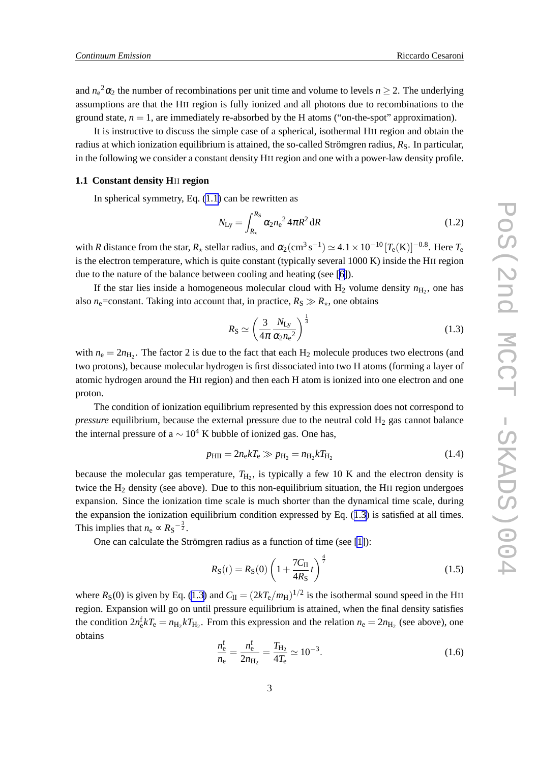<span id="page-2-0"></span>and  $n_e^2 \alpha_2$  the number of recombinations per unit time and volume to levels  $n \ge 2$ . The underlying assumptions are that the HII region is fully ionized and all photons due to recombinations to the ground state,  $n = 1$ , are immediately re-absorbed by the H atoms ("on-the-spot" approximation).

It is instructive to discuss the simple case of a spherical, isothermal HII region and obtain the radius at which ionization equilibrium is attained, the so-called Strömgren radius,  $R<sub>S</sub>$ . In particular, in the following we consider a constant density HII region and one with a power-law density profile.

#### **1.1 Constant density H**II **region**

In spherical symmetry, Eq.  $(1.1)$  can be rewritten as

$$
N_{\rm Ly} = \int_{R_{\star}}^{R_{\rm S}} \alpha_2 n_{\rm e}^2 4\pi R^2 \, dR \tag{1.2}
$$

with *R* distance from the star,  $R_{\star}$  stellar radius, and  $\alpha_2(\text{cm}^3 \text{ s}^{-1}) \simeq 4.1 \times 10^{-10} [T_e(K)]^{-0.8}$ . Here  $T_e$ is the electron temperature, which is quite constant (typically several 1000 K) inside the HII region due to the nature of the balance between cooling and heating (see [[6](#page-7-0)]).

If the star lies inside a homogeneous molecular cloud with  $H_2$  volume density  $n_{H_2}$ , one has also  $n_e$ =constant. Taking into account that, in practice,  $R_S \gg R_{\star}$ , one obtains

$$
R_{\rm S} \simeq \left(\frac{3}{4\pi} \frac{N_{\rm Ly}}{\alpha_2 n_{\rm e}^2}\right)^{\frac{1}{3}}\tag{1.3}
$$

with  $n_e = 2n_{\text{H}_2}$ . The factor 2 is due to the fact that each  $\text{H}_2$  molecule produces two electrons (and two protons), because molecular hydrogen is first dissociated into two H atoms (forming a layer of atomic hydrogen around the HII region) and then each H atom is ionized into one electron and one proton.

The condition of ionization equilibrium represented by this expression does not correspond to *pressure* equilibrium, because the external pressure due to the neutral cold  $H_2$  gas cannot balance the internal pressure of a  $\sim 10^4$  K bubble of ionized gas. One has,

$$
p_{\rm HII} = 2n_{\rm e}kT_{\rm e} \gg p_{\rm H_2} = n_{\rm H_2}kT_{\rm H_2} \tag{1.4}
$$

because the molecular gas temperature,  $T_{H_2}$ , is typically a few 10 K and the electron density is twice the H<sup>2</sup> density (see above). Due to this non-equilibrium situation, the HII region undergoes expansion. Since the ionization time scale is much shorter than the dynamical time scale, during the expansion the ionization equilibrium condition expressed by Eq. (1.3) is satisfied at all times. This implies that  $n_e \propto R_S^{-\frac{3}{2}}$ .

One can calculate the Strömgren radius as a function of time (see [\[1\]](#page-7-0)):

$$
R_{\rm S}(t) = R_{\rm S}(0) \left( 1 + \frac{7C_{\rm II}}{4R_{\rm S}} t \right)^{\frac{4}{7}}
$$
 (1.5)

where  $R_S(0)$  is given by Eq. (1.3) and  $C_{II} = (2kT_e/m_H)^{1/2}$  is the isothermal sound speed in the HII region. Expansion will go on until pressure equilibrium is attained, when the final density satisfies the condition  $2n_e^f kT_e = n_{H_2} kT_{H_2}$ . From this expression and the relation  $n_e = 2n_{H_2}$  (see above), one obtains

$$
\frac{n_{\rm e}^{\rm f}}{n_{\rm e}} = \frac{n_{\rm e}^{\rm f}}{2n_{\rm H_2}} = \frac{T_{\rm H_2}}{4T_{\rm e}} \simeq 10^{-3}.\tag{1.6}
$$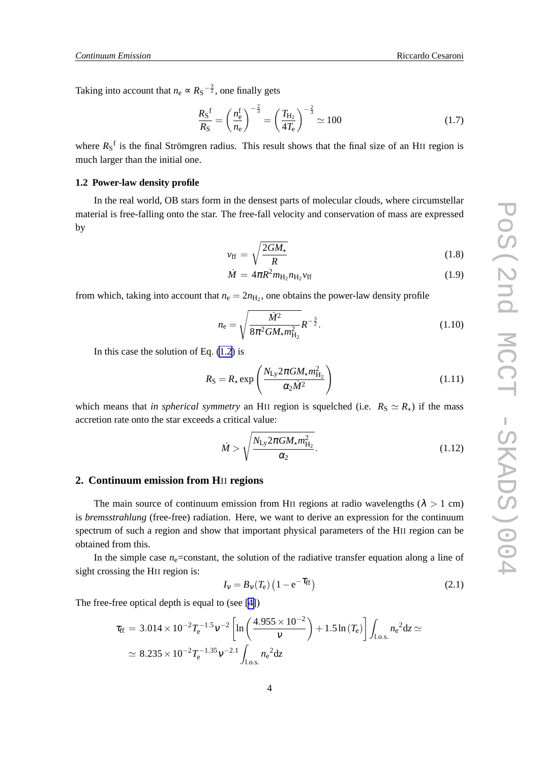Taking into account that  $n_e \propto R_S^{-\frac{3}{2}}$ , one finally gets

$$
\frac{R_{\rm S}^{\rm f}}{R_{\rm S}} = \left(\frac{n_{\rm e}^{\rm f}}{n_{\rm e}}\right)^{-\frac{2}{3}} = \left(\frac{T_{\rm H_2}}{4T_{\rm e}}\right)^{-\frac{2}{3}} \simeq 100\tag{1.7}
$$

where  $R_S$ <sup>f</sup> is the final Strömgren radius. This result shows that the final size of an HII region is much larger than the initial one.

#### **1.2 Power-law density profile**

In the real world, OB stars form in the densest parts of molecular clouds, where circumstellar material is free-falling onto the star. The free-fall velocity and conservation of mass are expressed by

$$
v_{\rm ff} = \sqrt{\frac{2GM_{\star}}{R}}
$$
 (1.8)

$$
\dot{M} = 4\pi R^2 m_{\text{H}_2} n_{\text{H}_2} v_{\text{ff}} \tag{1.9}
$$

from which, taking into account that  $n_e = 2n_{\text{H}_2}$ , one obtains the power-law density profile

$$
n_{\rm e} = \sqrt{\frac{\dot{M}^2}{8\pi^2 G M_\star m_{\rm H_2}^2}} R^{-\frac{3}{2}}.
$$
 (1.10)

In this case the solution of Eq.  $(1.2)$  $(1.2)$  is

$$
R_{\rm S} = R_{\star} \exp\left(\frac{N_{\rm Ly} 2\pi G M_{\star} m_{\rm H_2}^2}{\alpha_2 M^2}\right) \tag{1.11}
$$

which means that *in spherical symmetry* an HII region is squelched (i.e.  $R_S \simeq R_{\star}$ ) if the mass accretion rate onto the star exceeds a critical value:

$$
\dot{M} > \sqrt{\frac{N_{\rm Ly} 2\pi G M_{\star} m_{\rm H_2}^2}{\alpha_2}}.
$$
\n(1.12)

### **2. Continuum emission from H**II **regions**

The main source of continuum emission from HII regions at radio wavelengths ( $\lambda > 1$  cm) is *bremsstrahlung* (free-free) radiation. Here, we want to derive an expression for the continuum spectrum of such a region and show that important physical parameters of the HII region can be obtained from this.

In the simple case  $n_e$ =constant, the solution of the radiative transfer equation along a line of sight crossing the HII region is:

$$
I_{\rm v} = B_{\rm v}(T_{\rm e}) \left(1 - e^{-\tau_{\rm ff}}\right) \tag{2.1}
$$

The free-free optical depth is equal to (see [\[4\]](#page-7-0))

$$
\tau_{\rm ff} = 3.014 \times 10^{-2} T_{\rm e}^{-1.5} \nu^{-2} \left[ \ln \left( \frac{4.955 \times 10^{-2}}{\nu} \right) + 1.5 \ln(T_{\rm e}) \right] \int_{\rm l.o.s.} n_{\rm e}^2 dz \simeq
$$
  
 
$$
\simeq 8.235 \times 10^{-2} T_{\rm e}^{-1.35} \nu^{-2.1} \int_{\rm l.o.s.} n_{\rm e}^2 dz
$$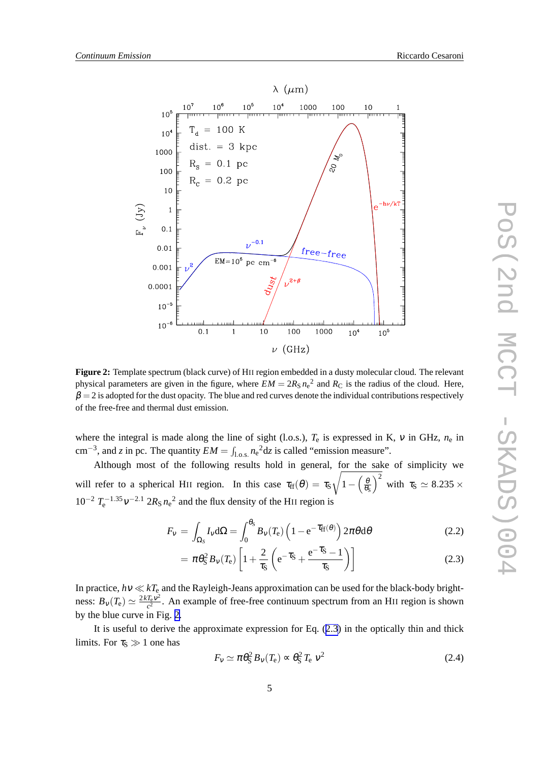<span id="page-4-0"></span>

**Figure 2:** Template spectrum (black curve) of HII region embedded in a dusty molecular cloud. The relevant physical parameters are given in the figure, where  $EM = 2R_S n_e^2$  and  $R_C$  is the radius of the cloud. Here,  $\beta = 2$  is adopted for the dust opacity. The blue and red curves denote the individual contributions respectively of the free-free and thermal dust emission.

where the integral is made along the line of sight (l.o.s.), *T*<sup>e</sup> is expressed in K, <sup>ν</sup> in GHz, *n*<sup>e</sup> in cm<sup>-3</sup>, and *z* in pc. The quantity  $EM = \int_{l.o.s.} n_e^2 dz$  is called "emission measure".

Although most of the following results hold in general, for the sake of simplicity we will refer to a spherical HII region. In this case  $\tau_{\rm ff}(\theta) = \tau_{\rm S}$ <sup>r</sup>  $1-\left(\frac{\theta}{\theta_0}\right)$  $\left(\frac{\theta}{\theta_S}\right)^2$  with  $\tau_S \simeq 8.235 \times$  $10^{-2}$   $T_e^{-1.35}v^{-2.1}$   $2R_S n_e^2$  and the flux density of the HII region is

$$
F_{\nu} = \int_{\Omega_{S}} I_{\nu} d\Omega = \int_{0}^{\theta_{S}} B_{\nu}(T_{e}) \left(1 - e^{-\tau_{\text{ff}}(\theta)}\right) 2\pi \theta d\theta \tag{2.2}
$$

$$
= \pi \theta_S^2 B_v(T_e) \left[ 1 + \frac{2}{\tau_S} \left( e^{-\tau_S} + \frac{e^{-\tau_S} - 1}{\tau_S} \right) \right]
$$
(2.3)

In practice, *h*<sup>ν</sup> ≪ *kT*<sup>e</sup> and the Rayleigh-Jeans approximation can be used for the black-body brightness:  $B_v(T_e) \simeq \frac{2kT_e v^2}{c^2}$  $\frac{I_e V^2}{c^2}$ . An example of free-free continuum spectrum from an HII region is shown by the blue curve in Fig. 2.

It is useful to derive the approximate expression for Eq. (2.3) in the optically thin and thick limits. For  $\tau_s \gg 1$  one has

$$
F_v \simeq \pi \theta_S^2 B_v(T_e) \propto \theta_S^2 T_e v^2 \tag{2.4}
$$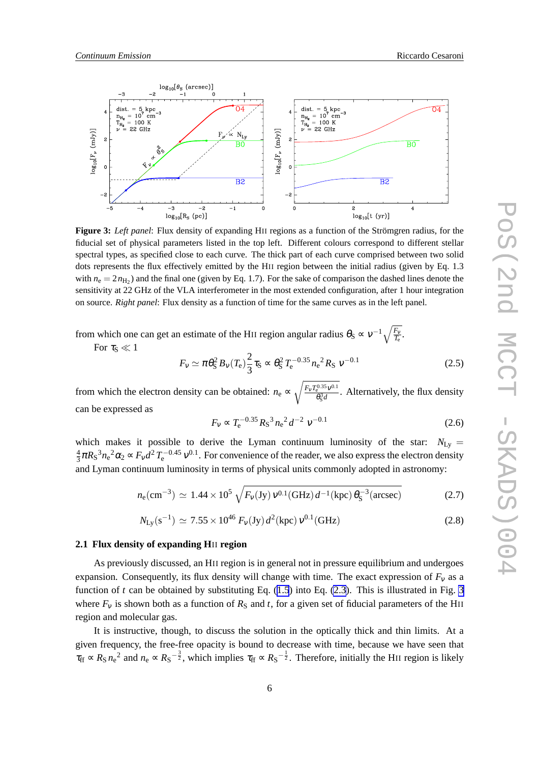

**Figure 3:** *Left panel*: Flux density of expanding HII regions as a function of the Strömgren radius, for the fiducial set of physical parameters listed in the top left. Different colours correspond to different stellar spectral types, as specified close to each curve. The thick part of each curve comprised between two solid dots represents the flux effectively emitted by the HII region between the initial radius (given by Eq. 1.3 with  $n_e = 2n_{\text{H}_2}$ ) and the final one (given by Eq. 1.7). For the sake of comparison the dashed lines denote the sensitivity at 22 GHz of the VLA interferometer in the most extended configuration, after 1 hour integration on source. *Right panel*: Flux density as a function of time for the same curves as in the left panel.

from which one can get an estimate of the HII region angular radius  $\theta_{\rm S} \propto v^{-1} \sqrt{\frac{F_{\rm v}}{T_{\rm e}}}.$ 

For  $\tau_{\rm S} \ll 1$ 

$$
F_V \simeq \pi \theta_S^2 B_V(T_e) \frac{2}{3} \tau_S \approx \theta_S^2 T_e^{-0.35} n_e^2 R_S V^{-0.1}
$$
 (2.5)

from which the electron density can be obtained:  $n_e \propto \sqrt{\frac{F_v T_e^{0.35} v^{0.1}}{\theta^3 d}}$  $\frac{\partial^2 D}{\partial s^2}$ . Alternatively, the flux density can be expressed as

$$
F_v \propto T_e^{-0.35} R_s^3 n_e^2 d^{-2} v^{-0.1}
$$
 (2.6)

which makes it possible to derive the Lyman continuum luminosity of the star:  $N_{\text{Ly}} =$ 4  $\frac{4}{3}\pi R_S^3 n_e^2 \alpha_2 \propto F_v d^2 T_e^{-0.45} v^{0.1}$ . For convenience of the reader, we also express the electron density and Lyman continuum luminosity in terms of physical units commonly adopted in astronomy:

$$
n_{\rm e} \text{(cm}^{-3}) \simeq 1.44 \times 10^5 \sqrt{F_V(\text{Jy}) \, v^{0.1}(\text{GHz}) \, d^{-1}(\text{kpc}) \, \theta_S^{-3}(\text{arcsec})} \tag{2.7}
$$

$$
N_{\rm Ly}(s^{-1}) \simeq 7.55 \times 10^{46} \, F_{\rm V}(\text{Jy}) \, d^2(\text{kpc}) \, \nu^{0.1}(\text{GHz}) \tag{2.8}
$$

#### **2.1 Flux density of expanding H**II **region**

As previously discussed, an HII region is in general not in pressure equilibrium and undergoes expansion. Consequently, its flux density will change with time. The exact expression of  $F_v$  as a function of *t* can be obtained by substituting Eq.  $(1.5)$  $(1.5)$  $(1.5)$  into Eq.  $(2.3)$  $(2.3)$ . This is illustrated in Fig. 3 where  $F_v$  is shown both as a function of  $R_S$  and *t*, for a given set of fiducial parameters of the HII region and molecular gas.

It is instructive, though, to discuss the solution in the optically thick and thin limits. At a given frequency, the free-free opacity is bound to decrease with time, because we have seen that  $\tau_{\rm ff} \propto R_{\rm S} n_{\rm e}^2$  and  $n_{\rm e} \propto R_{\rm S}^{-\frac{3}{2}}$ , which implies  $\tau_{\rm ff} \propto R_{\rm S}^{-\frac{1}{2}}$ . Therefore, initially the HII region is likely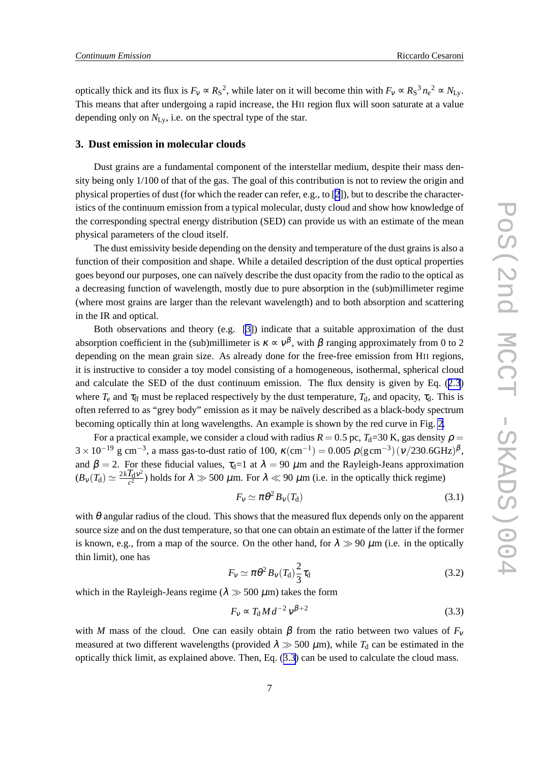optically thick and its flux is  $F_v \propto R_S^2$ , while later on it will become thin with  $F_v \propto R_S^3 n_e^2 \propto N_{Ly}$ . This means that after undergoing a rapid increase, the HII region flux will soon saturate at a value depending only on *N*Ly, i.e. on the spectral type of the star.

### **3. Dust emission in molecular clouds**

Dust grains are a fundamental component of the interstellar medium, despite their mass density being only 1/100 of that of the gas. The goal of this contribution is not to review the origin and physical properties of dust (for which the reader can refer, e.g., to [[2](#page-7-0)]), but to describe the characteristics of the continuum emission from a typical molecular, dusty cloud and show how knowledge of the corresponding spectral energy distribution (SED) can provide us with an estimate of the mean physical parameters of the cloud itself.

The dust emissivity beside depending on the density and temperature of the dust grains is also a function of their composition and shape. While a detailed description of the dust optical properties goes beyond our purposes, one can naïvely describe the dust opacity from the radio to the optical as a decreasing function of wavelength, mostly due to pure absorption in the (sub)millimeter regime (where most grains are larger than the relevant wavelength) and to both absorption and scattering in the IR and optical.

Both observations and theory (e.g. [\[3\]](#page-7-0)) indicate that a suitable approximation of the dust absorption coefficient in the (sub)millimeter is  $\kappa \propto v^{\beta}$ , with  $\beta$  ranging approximately from 0 to 2 depending on the mean grain size. As already done for the free-free emission from HII regions, it is instructive to consider a toy model consisting of a homogeneous, isothermal, spherical cloud and calculate the SED of the dust continuum emission. The flux density is given by Eq. ([2.3](#page-4-0)) where  $T_e$  and  $\tau_{ff}$  must be replaced respectively by the dust temperature,  $T_d$ , and opacity,  $\tau_d$ . This is often referred to as "grey body" emission as it may be naïvely described as a black-body spectrum becoming optically thin at long wavelengths. An example is shown by the red curve in Fig. [2.](#page-4-0)

For a practical example, we consider a cloud with radius  $R = 0.5$  pc,  $T<sub>d</sub>=30$  K, gas density  $\rho =$  $3 \times 10^{-19}$  g cm<sup>-3</sup>, a mass gas-to-dust ratio of 100,  $\kappa$ (cm<sup>-1</sup>) = 0.005  $\rho$ (gcm<sup>-3</sup>)(v/230.6GHz)<sup> $\beta$ </sup>, and  $\beta = 2$ . For these fiducial values,  $\tau_d = 1$  at  $\lambda = 90 \ \mu \text{m}$  and the Rayleigh-Jeans approximation  $(B_v(T_d) \simeq \frac{2kT_dv^2}{c^2}$  $\frac{I_d V^2}{c^2}$ ) holds for  $\lambda \gg 500 \ \mu$ m. For  $\lambda \ll 90 \ \mu$ m (i.e. in the optically thick regime)

$$
F_V \simeq \pi \theta^2 B_V(T_d) \tag{3.1}
$$

with  $\theta$  angular radius of the cloud. This shows that the measured flux depends only on the apparent source size and on the dust temperature, so that one can obtain an estimate of the latter if the former is known, e.g., from a map of the source. On the other hand, for  $\lambda \gg 90 \mu m$  (i.e. in the optically thin limit), one has

$$
F_V \simeq \pi \theta^2 B_V(T_d) \frac{2}{3} \tau_d \tag{3.2}
$$

which in the Rayleigh-Jeans regime ( $\lambda \gg 500 \ \mu m$ ) takes the form

$$
F_v \propto T_d M d^{-2} v^{\beta+2}
$$
\n(3.3)

with *M* mass of the cloud. One can easily obtain *β* from the ratio between two values of  $F_v$ measured at two different wavelengths (provided  $\lambda \gg 500 \ \mu \text{m}$ ), while  $T_d$  can be estimated in the optically thick limit, as explained above. Then, Eq. (3.3) can be used to calculate the cloud mass.